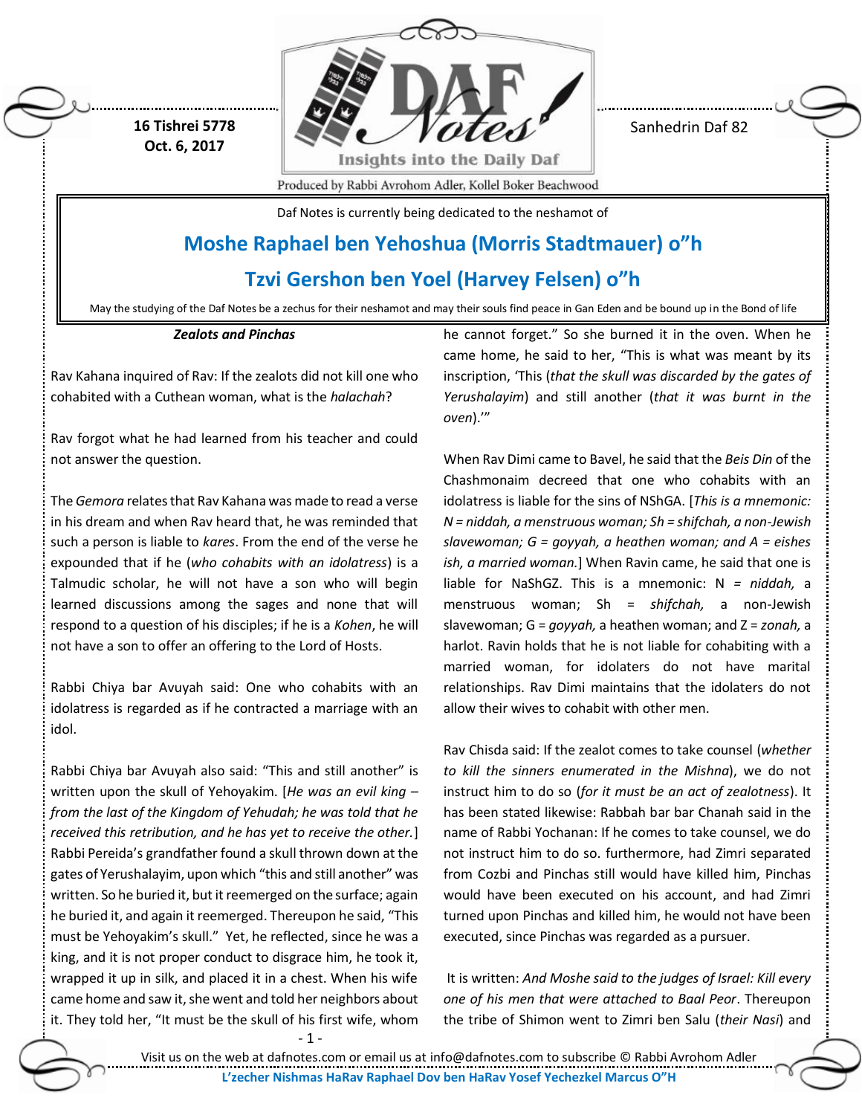

Sanhedrin Daf 82

**Oct. 6, 2017**

**16 Tishrei 5778**

Produced by Rabbi Avrohom Adler, Kollel Boker Beachwood

Daf Notes is currently being dedicated to the neshamot of

# **Moshe Raphael ben Yehoshua (Morris Stadtmauer) o"h**

**Tzvi Gershon ben Yoel (Harvey Felsen) o"h**

May the studying of the Daf Notes be a zechus for their neshamot and may their souls find peace in Gan Eden and be bound up in the Bond of life

### *Zealots and Pinchas*

Rav Kahana inquired of Rav: If the zealots did not kill one who cohabited with a Cuthean woman, what is the *halachah*?

Rav forgot what he had learned from his teacher and could not answer the question.

The *Gemora* relates that Rav Kahana was made to read a verse in his dream and when Rav heard that, he was reminded that such a person is liable to *kares*. From the end of the verse he expounded that if he (*who cohabits with an idolatress*) is a Talmudic scholar, he will not have a son who will begin learned discussions among the sages and none that will respond to a question of his disciples; if he is a *Kohen*, he will not have a son to offer an offering to the Lord of Hosts.

Rabbi Chiya bar Avuyah said: One who cohabits with an idolatress is regarded as if he contracted a marriage with an idol.

Rabbi Chiya bar Avuyah also said: "This and still another" is written upon the skull of Yehoyakim. [*He was an evil king – from the last of the Kingdom of Yehudah; he was told that he received this retribution, and he has yet to receive the other.*] Rabbi Pereida's grandfather found a skull thrown down at the gates of Yerushalayim, upon which "this and still another" was written. So he buried it, but it reemerged on the surface; again he buried it, and again it reemerged. Thereupon he said, "This must be Yehoyakim's skull." Yet, he reflected, since he was a king, and it is not proper conduct to disgrace him, he took it, wrapped it up in silk, and placed it in a chest. When his wife came home and saw it, she went and told her neighbors about it. They told her, "It must be the skull of his first wife, whom he cannot forget." So she burned it in the oven. When he came home, he said to her, "This is what was meant by its inscription, 'This (*that the skull was discarded by the gates of Yerushalayim*) and still another (*that it was burnt in the oven*).'"

When Rav Dimi came to Bavel, he said that the *Beis Din* of the Chashmonaim decreed that one who cohabits with an idolatress is liable for the sins of NShGA. [*This is a mnemonic: N = niddah, a menstruous woman; Sh = shifchah, a non-Jewish slavewoman; G = goyyah, a heathen woman; and A = eishes ish, a married woman.*] When Ravin came, he said that one is liable for NaShGZ. This is a mnemonic: N *= niddah,* a menstruous woman; Sh = *shifchah,* a non-Jewish slavewoman; G = *goyyah,* a heathen woman; and Z = *zonah,* a harlot. Ravin holds that he is not liable for cohabiting with a married woman, for idolaters do not have marital relationships. Rav Dimi maintains that the idolaters do not allow their wives to cohabit with other men.

Rav Chisda said: If the zealot comes to take counsel (*whether to kill the sinners enumerated in the Mishna*), we do not instruct him to do so (*for it must be an act of zealotness*). It has been stated likewise: Rabbah bar bar Chanah said in the name of Rabbi Yochanan: If he comes to take counsel, we do not instruct him to do so. furthermore, had Zimri separated from Cozbi and Pinchas still would have killed him, Pinchas would have been executed on his account, and had Zimri turned upon Pinchas and killed him, he would not have been executed, since Pinchas was regarded as a pursuer.

It is written: *And Moshe said to the judges of Israel: Kill every one of his men that were attached to Baal Peor*. Thereupon the tribe of Shimon went to Zimri ben Salu (*their Nasi*) and

- 1 -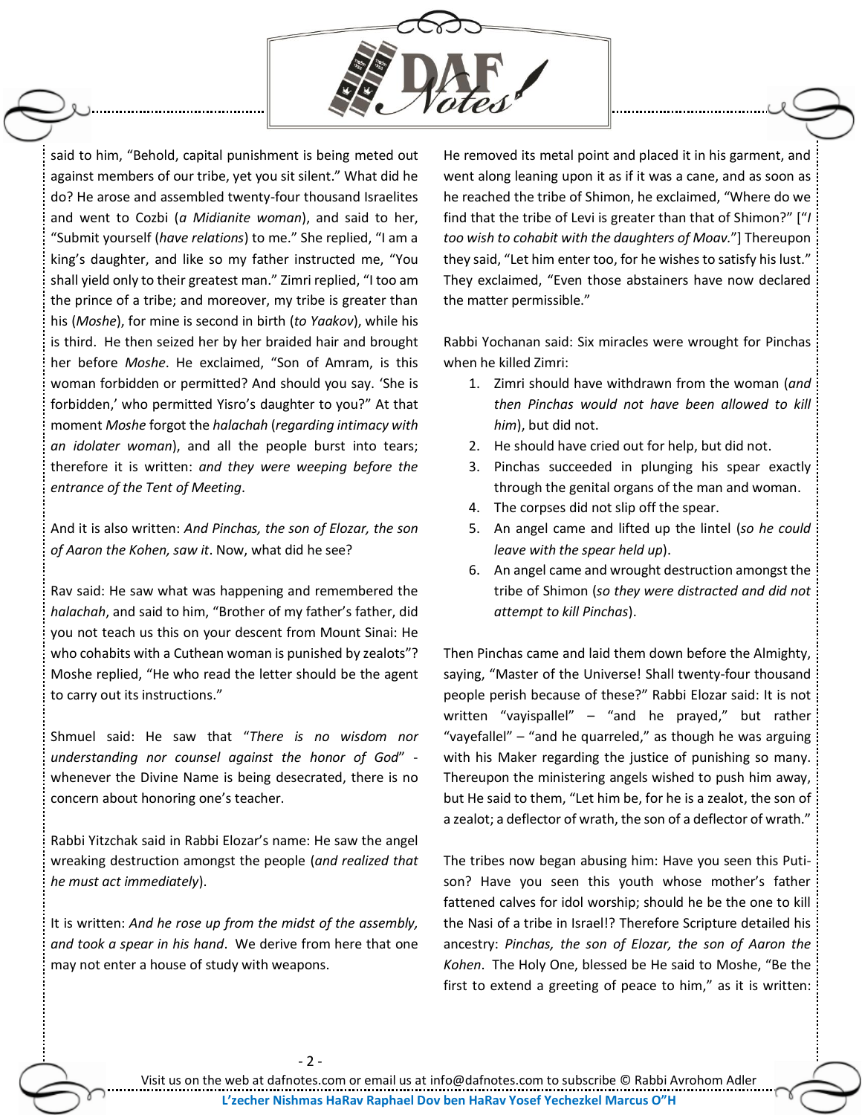

said to him, "Behold, capital punishment is being meted out against members of our tribe, yet you sit silent." What did he do? He arose and assembled twenty-four thousand Israelites and went to Cozbi (*a Midianite woman*), and said to her, "Submit yourself (*have relations*) to me." She replied, "I am a king's daughter, and like so my father instructed me, "You shall yield only to their greatest man." Zimri replied, "I too am the prince of a tribe; and moreover, my tribe is greater than his (*Moshe*), for mine is second in birth (*to Yaakov*), while his is third. He then seized her by her braided hair and brought her before *Moshe*. He exclaimed, "Son of Amram, is this woman forbidden or permitted? And should you say. 'She is forbidden,' who permitted Yisro's daughter to you?" At that moment *Moshe* forgot the *halachah* (*regarding intimacy with an idolater woman*), and all the people burst into tears; therefore it is written: *and they were weeping before the entrance of the Tent of Meeting*.

And it is also written: *And Pinchas, the son of Elozar, the son of Aaron the Kohen, saw it*. Now, what did he see?

Rav said: He saw what was happening and remembered the *halachah*, and said to him, "Brother of my father's father, did you not teach us this on your descent from Mount Sinai: He who cohabits with a Cuthean woman is punished by zealots"? Moshe replied, "He who read the letter should be the agent to carry out its instructions."

Shmuel said: He saw that "*There is no wisdom nor understanding nor counsel against the honor of God*" whenever the Divine Name is being desecrated, there is no concern about honoring one's teacher.

Rabbi Yitzchak said in Rabbi Elozar's name: He saw the angel wreaking destruction amongst the people (*and realized that he must act immediately*).

It is written: *And he rose up from the midst of the assembly, and took a spear in his hand*. We derive from here that one may not enter a house of study with weapons.

He removed its metal point and placed it in his garment, and went along leaning upon it as if it was a cane, and as soon as he reached the tribe of Shimon, he exclaimed, "Where do we find that the tribe of Levi is greater than that of Shimon?" ["*I too wish to cohabit with the daughters of Moav.*"] Thereupon they said, "Let him enter too, for he wishes to satisfy his lust." They exclaimed, "Even those abstainers have now declared the matter permissible."

Rabbi Yochanan said: Six miracles were wrought for Pinchas when he killed Zimri:

- 1. Zimri should have withdrawn from the woman (*and then Pinchas would not have been allowed to kill him*), but did not.
- 2. He should have cried out for help, but did not.
- 3. Pinchas succeeded in plunging his spear exactly through the genital organs of the man and woman.
- 4. The corpses did not slip off the spear.
- 5. An angel came and lifted up the lintel (*so he could leave with the spear held up*).
- 6. An angel came and wrought destruction amongst the tribe of Shimon (*so they were distracted and did not attempt to kill Pinchas*).

Then Pinchas came and laid them down before the Almighty, saying, "Master of the Universe! Shall twenty-four thousand people perish because of these?" Rabbi Elozar said: It is not written "vayispallel" – "and he prayed," but rather "vayefallel" – "and he quarreled," as though he was arguing with his Maker regarding the justice of punishing so many. Thereupon the ministering angels wished to push him away, but He said to them, "Let him be, for he is a zealot, the son of a zealot; a deflector of wrath, the son of a deflector of wrath."

The tribes now began abusing him: Have you seen this Putison? Have you seen this youth whose mother's father fattened calves for idol worship; should he be the one to kill the Nasi of a tribe in Israel!? Therefore Scripture detailed his ancestry: *Pinchas, the son of Elozar, the son of Aaron the Kohen*. The Holy One, blessed be He said to Moshe, "Be the first to extend a greeting of peace to him," as it is written:

Visit us on the web at dafnotes.com or email us a[t info@dafnotes.com](mailto:info@dafnotes.com) to subscribe © Rabbi Avrohom Adler **L'zecher Nishmas HaRav Raphael Dov ben HaRav Yosef Yechezkel Marcus O"H**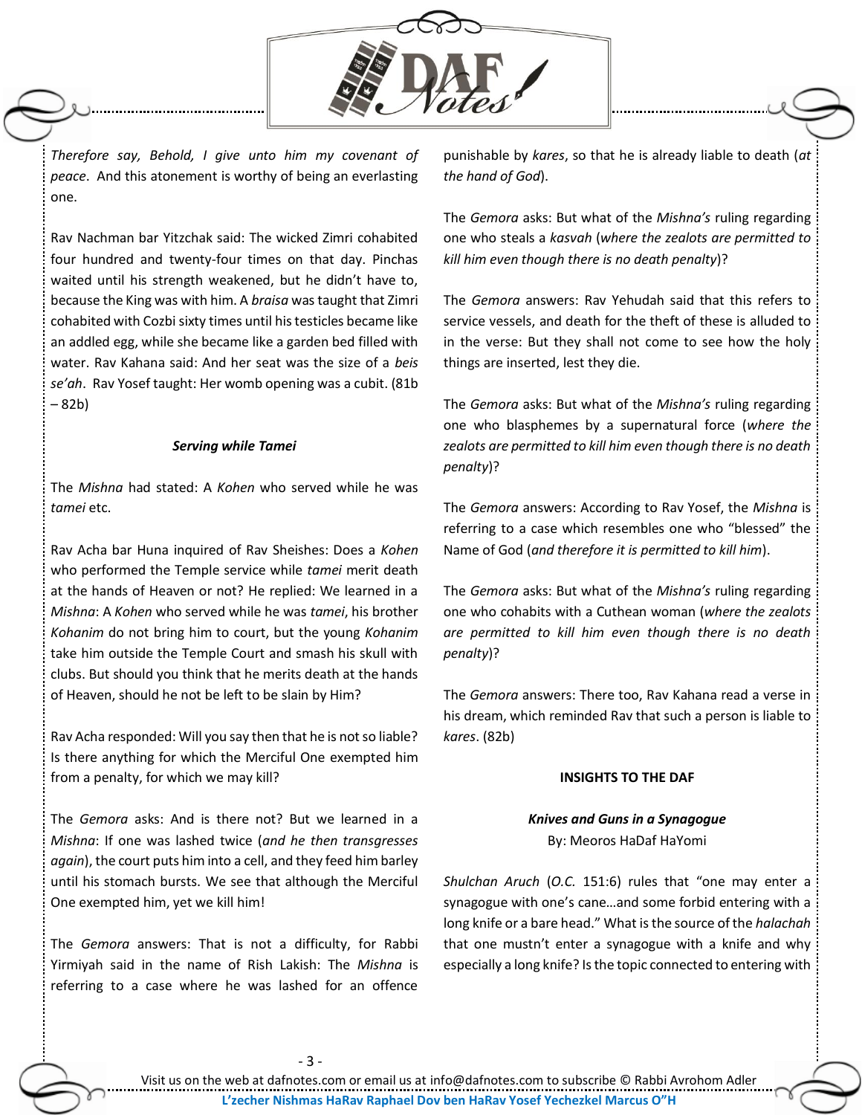

*Therefore say, Behold, I give unto him my covenant of peace*. And this atonement is worthy of being an everlasting one.

Rav Nachman bar Yitzchak said: The wicked Zimri cohabited four hundred and twenty-four times on that day. Pinchas waited until his strength weakened, but he didn't have to, because the King was with him. A *braisa* was taught that Zimri cohabited with Cozbi sixty times until his testicles became like an addled egg, while she became like a garden bed filled with water. Rav Kahana said: And her seat was the size of a *beis se'ah*. Rav Yosef taught: Her womb opening was a cubit. (81b – 82b)

#### *Serving while Tamei*

The *Mishna* had stated: A *Kohen* who served while he was *tamei* etc.

Rav Acha bar Huna inquired of Rav Sheishes: Does a *Kohen* who performed the Temple service while *tamei* merit death at the hands of Heaven or not? He replied: We learned in a *Mishna*: A *Kohen* who served while he was *tamei*, his brother *Kohanim* do not bring him to court, but the young *Kohanim* take him outside the Temple Court and smash his skull with clubs. But should you think that he merits death at the hands of Heaven, should he not be left to be slain by Him?

Rav Acha responded: Will you say then that he is not so liable? Is there anything for which the Merciful One exempted him from a penalty, for which we may kill?

The *Gemora* asks: And is there not? But we learned in a *Mishna*: If one was lashed twice (*and he then transgresses again*), the court puts him into a cell, and they feed him barley until his stomach bursts. We see that although the Merciful One exempted him, yet we kill him!

The *Gemora* answers: That is not a difficulty, for Rabbi Yirmiyah said in the name of Rish Lakish: The *Mishna* is referring to a case where he was lashed for an offence

punishable by *kares*, so that he is already liable to death (*at the hand of God*).

The *Gemora* asks: But what of the *Mishna's* ruling regarding one who steals a *kasvah* (*where the zealots are permitted to kill him even though there is no death penalty*)?

The *Gemora* answers: Rav Yehudah said that this refers to service vessels, and death for the theft of these is alluded to in the verse: But they shall not come to see how the holy things are inserted, lest they die.

The *Gemora* asks: But what of the *Mishna's* ruling regarding one who blasphemes by a supernatural force (*where the zealots are permitted to kill him even though there is no death penalty*)?

The *Gemora* answers: According to Rav Yosef, the *Mishna* is referring to a case which resembles one who "blessed" the Name of God (*and therefore it is permitted to kill him*).

The *Gemora* asks: But what of the *Mishna's* ruling regarding one who cohabits with a Cuthean woman (*where the zealots are permitted to kill him even though there is no death penalty*)?

The *Gemora* answers: There too, Rav Kahana read a verse in his dream, which reminded Rav that such a person is liable to *kares*. (82b)

#### **INSIGHTS TO THE DAF**

## *Knives and Guns in a Synagogue* By: Meoros HaDaf HaYomi

*Shulchan Aruch* (*O.C.* 151:6) rules that "one may enter a synagogue with one's cane…and some forbid entering with a long knife or a bare head." What is the source of the *halachah* that one mustn't enter a synagogue with a knife and why especially a long knife? Is the topic connected to entering with